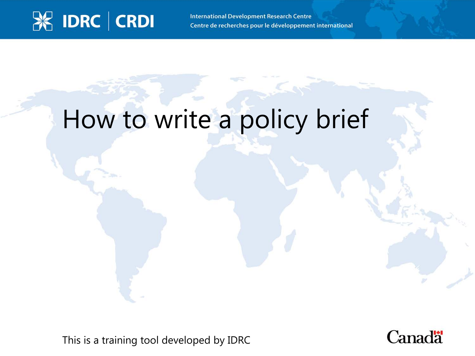#### **X IDRC | CRDI**

**International Development Research Centre** Centre de recherches pour le développement international

#### How to write a policy brief

This is a training tool developed by IDRC

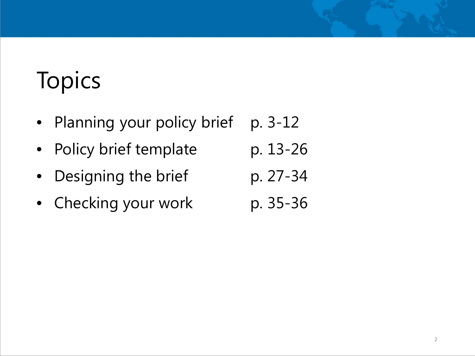## **Topics**

- Planning your policy brief p. 3-12
- Policy brief template p. 13-26
- Designing the brief p. 27-34
- Checking your work p. 35-36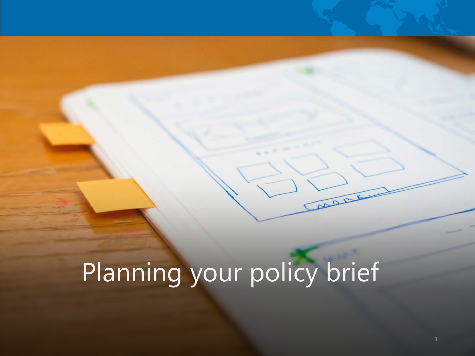# Planning your policy brief

post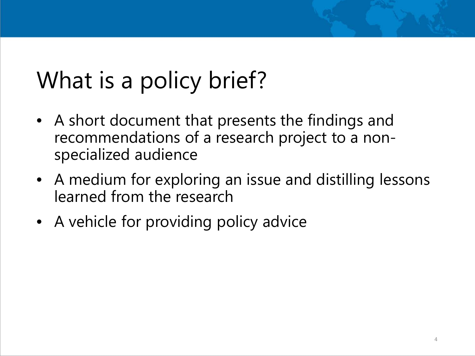#### What is a policy brief?

- A short document that presents the findings and recommendations of a research project to a nonspecialized audience
- A medium for exploring an issue and distilling lessons learned from the research
- A vehicle for providing policy advice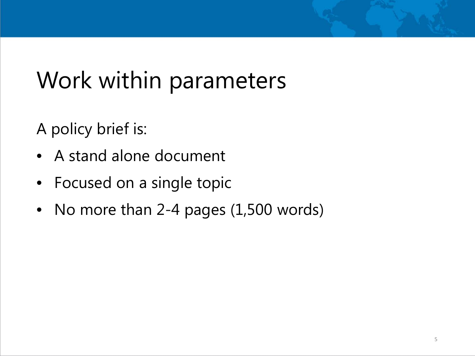#### Work within parameters

A policy brief is:

- A stand alone document
- Focused on a single topic
- No more than 2-4 pages (1,500 words)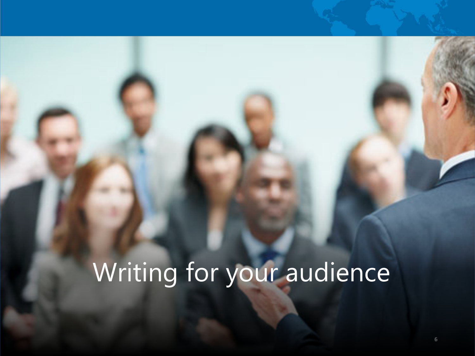## Writing for your audience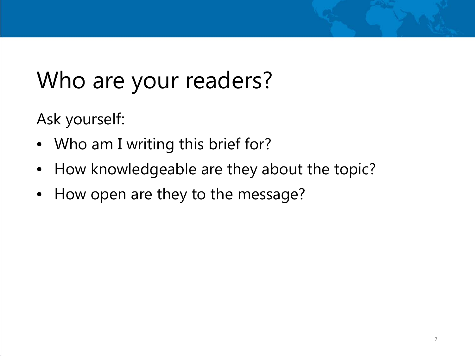#### Who are your readers?

Ask yourself:

- Who am I writing this brief for?
- How knowledgeable are they about the topic?
- How open are they to the message?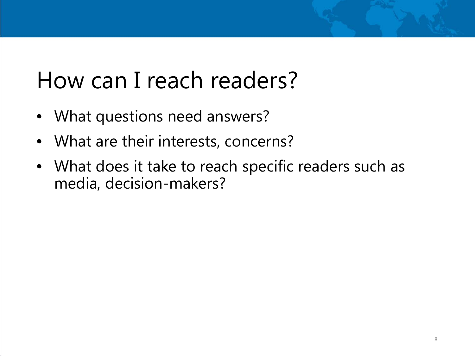#### How can I reach readers?

- What questions need answers?
- What are their interests, concerns?
- What does it take to reach specific readers such as media, decision-makers?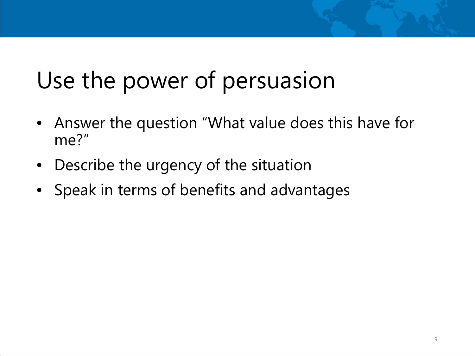#### Use the power of persuasion

- Answer the question "What value does this have for me?"
- Describe the urgency of the situation
- Speak in terms of benefits and advantages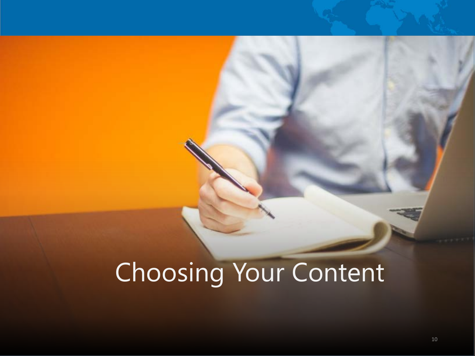## Choosing Your Content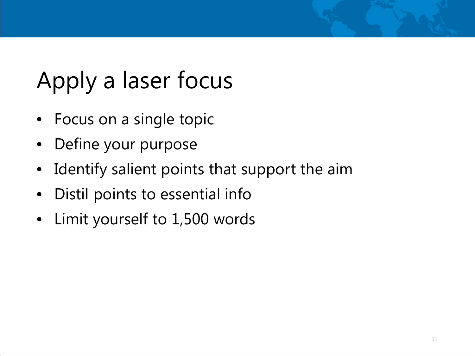### Apply a laser focus

- Focus on a single topic
- Define your purpose
- Identify salient points that support the aim
- Distil points to essential info
- Limit yourself to 1,500 words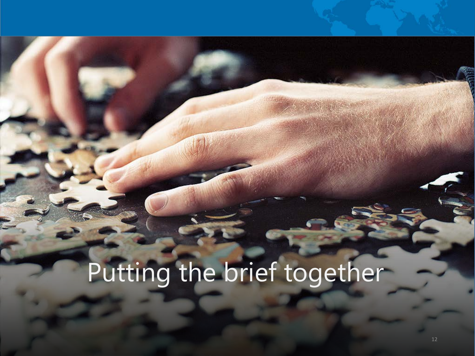## Putting the brief together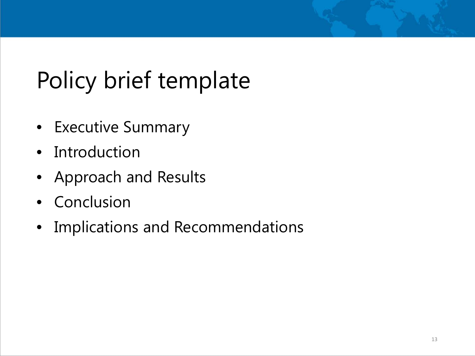#### Policy brief template

- Executive Summary
- Introduction
- Approach and Results
- Conclusion
- Implications and Recommendations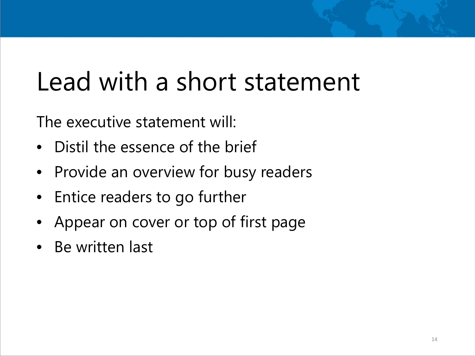### Lead with a short statement

The executive statement will:

- Distil the essence of the brief
- Provide an overview for busy readers
- Entice readers to go further
- Appear on cover or top of first page
- Be written last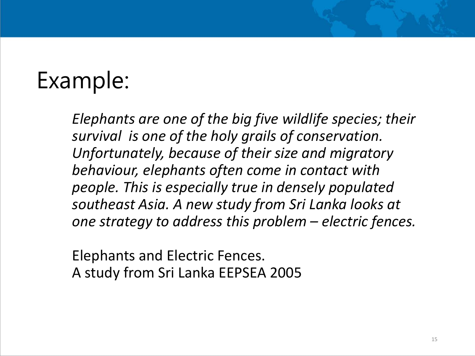#### Example:

*Elephants are one of the big five wildlife species; their survival is one of the holy grails of conservation. Unfortunately, because of their size and migratory behaviour, elephants often come in contact with people. This is especially true in densely populated southeast Asia. A new study from Sri Lanka looks at one strategy to address this problem – electric fences.* 

Elephants and Electric Fences. A study from Sri Lanka EEPSEA 2005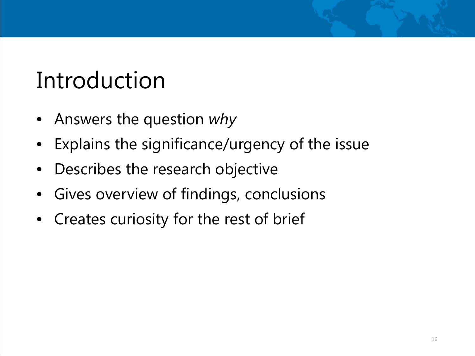#### Introduction

- Answers the question *why*
- Explains the significance/urgency of the issue
- Describes the research objective
- Gives overview of findings, conclusions
- Creates curiosity for the rest of brief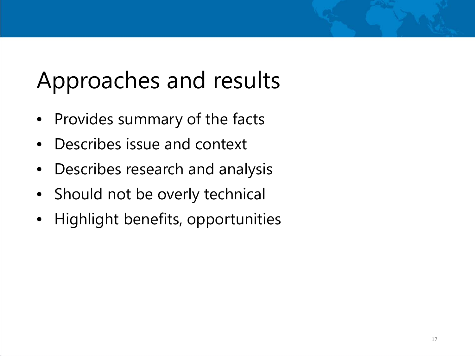#### Approaches and results

- Provides summary of the facts
- Describes issue and context
- Describes research and analysis
- Should not be overly technical
- Highlight benefits, opportunities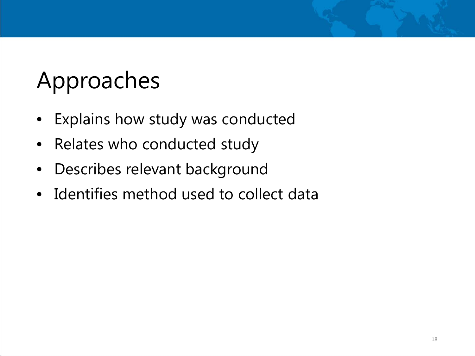#### Approaches

- Explains how study was conducted
- Relates who conducted study
- Describes relevant background
- Identifies method used to collect data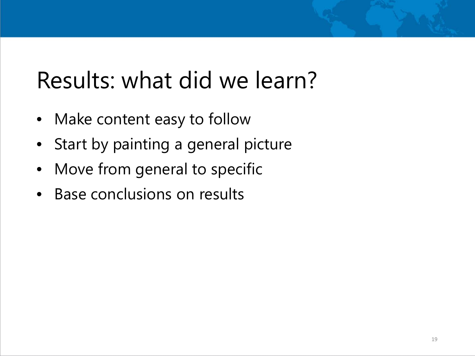#### Results: what did we learn?

- Make content easy to follow
- Start by painting a general picture
- Move from general to specific
- Base conclusions on results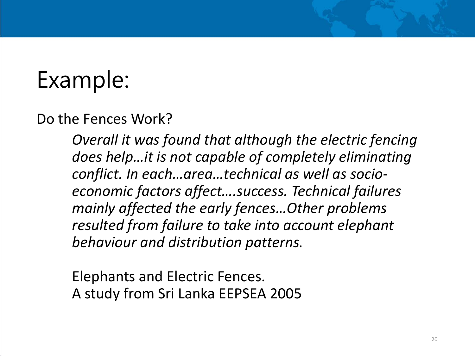#### Example:

Do the Fences Work?

*Overall it was found that although the electric fencing does help…it is not capable of completely eliminating conflict. In each…area…technical as well as socioeconomic factors affect….success. Technical failures mainly affected the early fences…Other problems resulted from failure to take into account elephant behaviour and distribution patterns.* 

Elephants and Electric Fences. A study from Sri Lanka EEPSEA 2005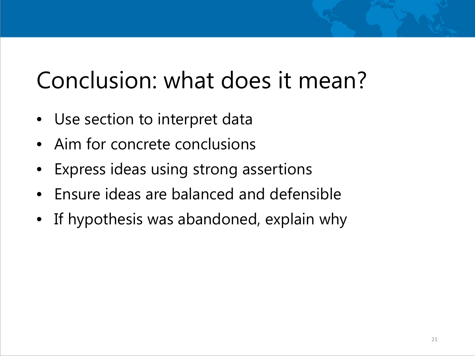#### Conclusion: what does it mean?

- Use section to interpret data
- Aim for concrete conclusions
- Express ideas using strong assertions
- Ensure ideas are balanced and defensible
- If hypothesis was abandoned, explain why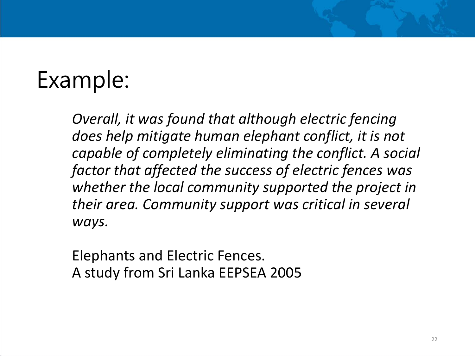#### Example:

*Overall, it was found that although electric fencing does help mitigate human elephant conflict, it is not capable of completely eliminating the conflict. A social factor that affected the success of electric fences was whether the local community supported the project in their area. Community support was critical in several ways.* 

Elephants and Electric Fences. A study from Sri Lanka EEPSEA 2005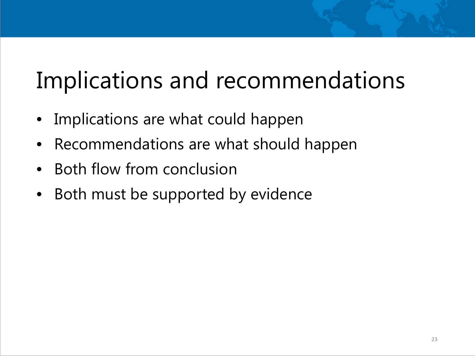#### Implications and recommendations

- Implications are what could happen
- Recommendations are what should happen
- Both flow from conclusion
- Both must be supported by evidence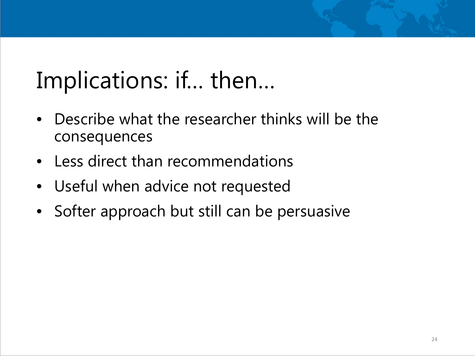#### Implications: if… then…

- Describe what the researcher thinks will be the consequences
- Less direct than recommendations
- Useful when advice not requested
- Softer approach but still can be persuasive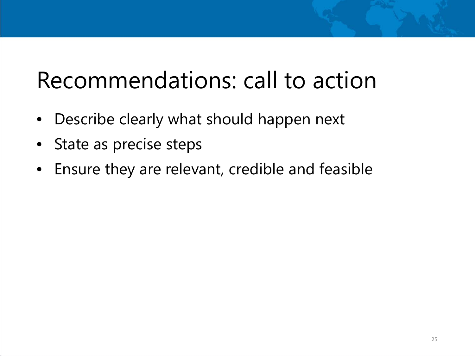#### Recommendations: call to action

- Describe clearly what should happen next
- State as precise steps
- Ensure they are relevant, credible and feasible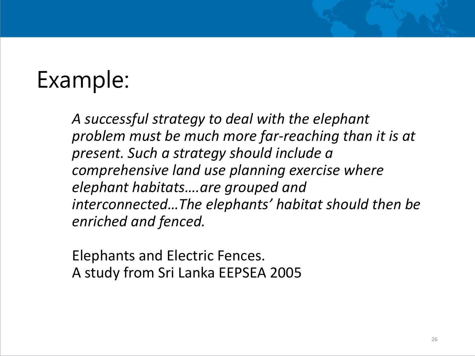#### Example:

*A successful strategy to deal with the elephant problem must be much more far-reaching than it is at present. Such a strategy should include a comprehensive land use planning exercise where elephant habitats….are grouped and interconnected…The elephants' habitat should then be enriched and fenced.* 

Elephants and Electric Fences. A study from Sri Lanka EEPSEA 2005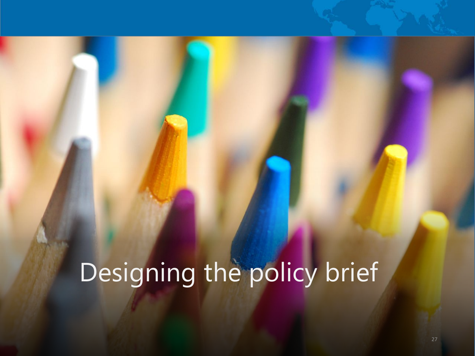## Designing the policy brief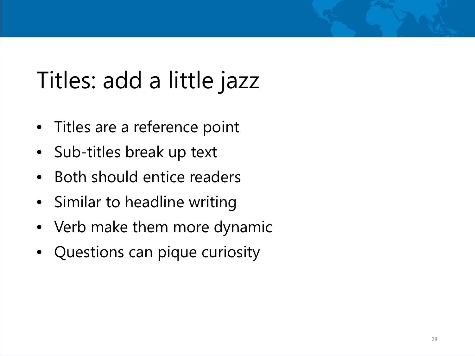#### Titles: add a little jazz

- Titles are a reference point
- Sub-titles break up text
- Both should entice readers
- Similar to headline writing
- Verb make them more dynamic
- Questions can pique curiosity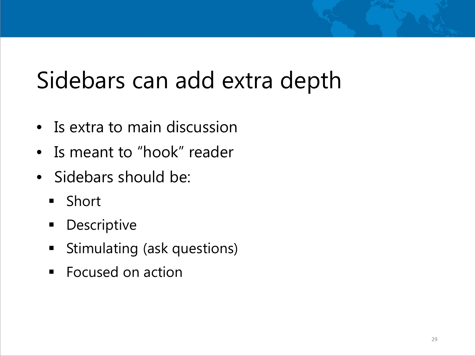#### Sidebars can add extra depth

- Is extra to main discussion
- Is meant to "hook" reader
- Sidebars should be:
	- **Short**
	- **-** Descriptive
	- **Stimulating (ask questions)**
	- Focused on action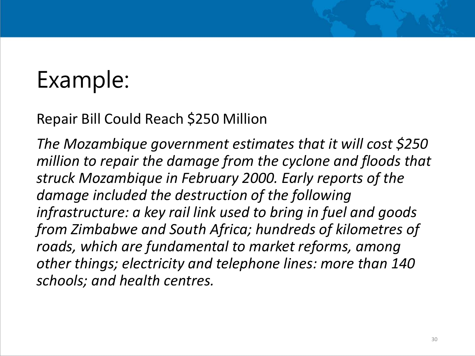#### Example:

#### Repair Bill Could Reach \$250 Million

*The Mozambique government estimates that it will cost \$250 million to repair the damage from the cyclone and floods that struck Mozambique in February 2000. Early reports of the damage included the destruction of the following infrastructure: a key rail link used to bring in fuel and goods from Zimbabwe and South Africa; hundreds of kilometres of roads, which are fundamental to market reforms, among other things; electricity and telephone lines: more than 140 schools; and health centres.*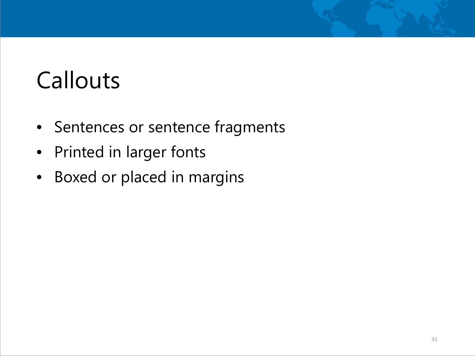#### **Callouts**

- Sentences or sentence fragments
- Printed in larger fonts
- Boxed or placed in margins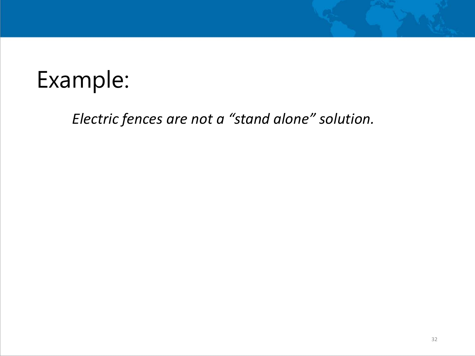#### Example:

#### *Electric fences are not a "stand alone" solution.*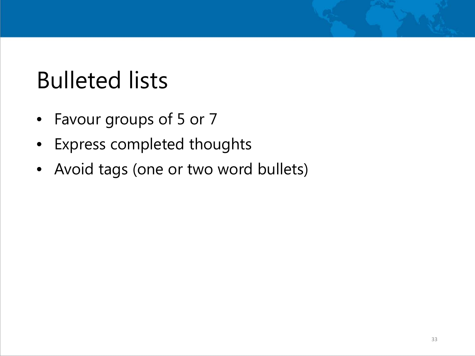#### Bulleted lists

- Favour groups of 5 or 7
- Express completed thoughts
- Avoid tags (one or two word bullets)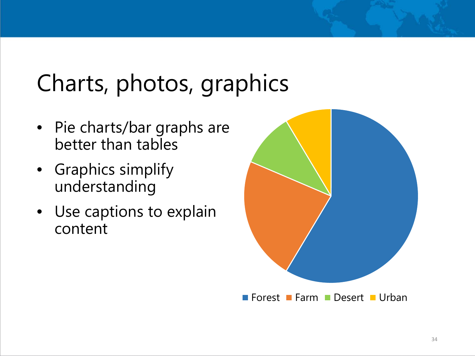#### Charts, photos, graphics

- Pie charts/bar graphs are better than tables
- Graphics simplify understanding
- Use captions to explain content

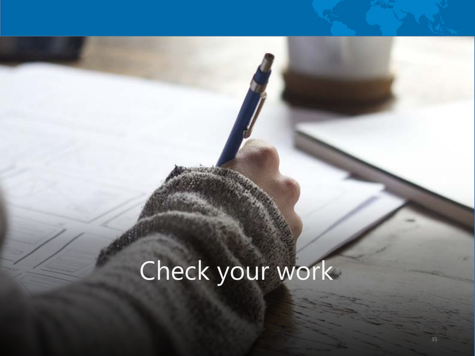# Check your work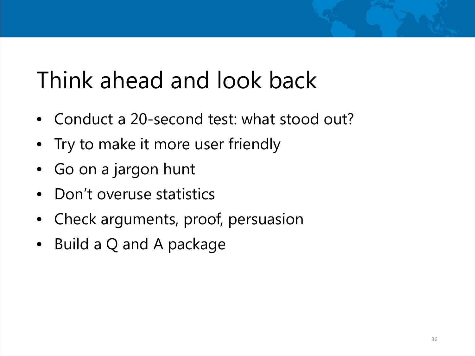#### Think ahead and look back

- Conduct a 20-second test: what stood out?
- Try to make it more user friendly
- Go on a jargon hunt
- Don't overuse statistics
- Check arguments, proof, persuasion
- Build a Q and A package